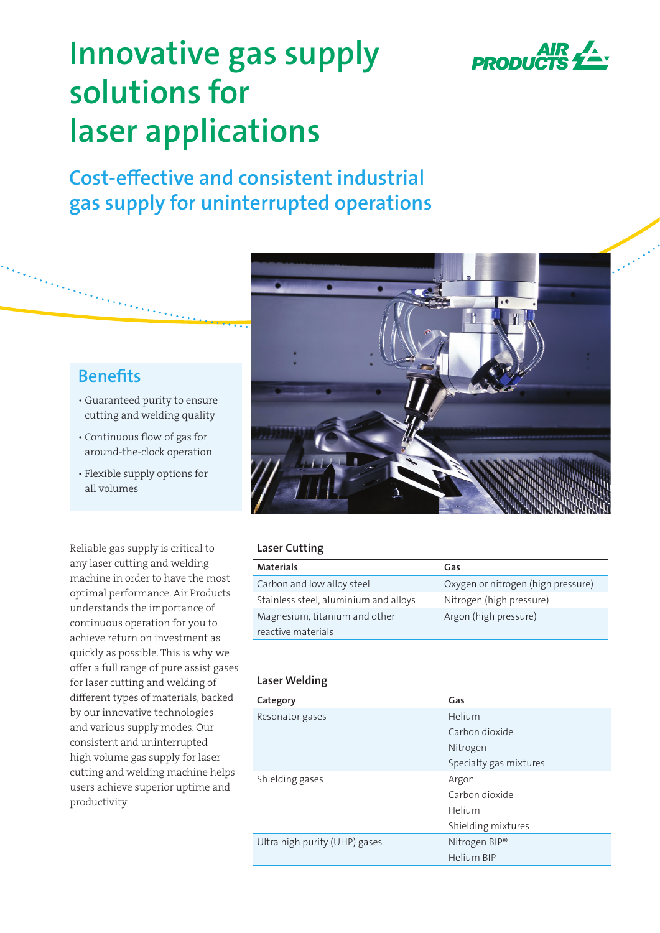

# **Innovative gas supply solutions for laser applications**

**Cost-effective and consistent industrial gas supply for uninterrupted operations**

### **Benefits**

- Guaranteed purity to ensure cutting and welding quality
- Continuous flow of gas for around-the-clock operation
- Flexible supply options for all volumes

Reliable gas supply is critical to any laser cutting and welding machine in order to have the most optimal performance. Air Products understands the importance of continuous operation for you to achieve return on investment as quickly as possible. This is why we offer a full range of pure assist gases for laser cutting and welding of different types of materials, backed by our innovative technologies and various supply modes. Our consistent and uninterrupted high volume gas supply for laser cutting and welding machine helps users achieve superior uptime and productivity.



#### **Laser Cutting**

| <b>Materials</b>                      | Gas                                |
|---------------------------------------|------------------------------------|
| Carbon and low alloy steel            | Oxygen or nitrogen (high pressure) |
| Stainless steel, aluminium and alloys | Nitrogen (high pressure)           |
| Magnesium, titanium and other         | Argon (high pressure)              |
| reactive materials                    |                                    |

#### **Laser Welding**

| Category                      | Gas                    |
|-------------------------------|------------------------|
| Resonator gases               | Helium                 |
|                               | Carbon dioxide         |
|                               | Nitrogen               |
|                               | Specialty gas mixtures |
| Shielding gases               | Argon                  |
|                               | Carbon dioxide         |
|                               | Helium                 |
|                               | Shielding mixtures     |
| Ultra high purity (UHP) gases | Nitrogen BIP®          |
|                               | Helium BIP             |
|                               |                        |